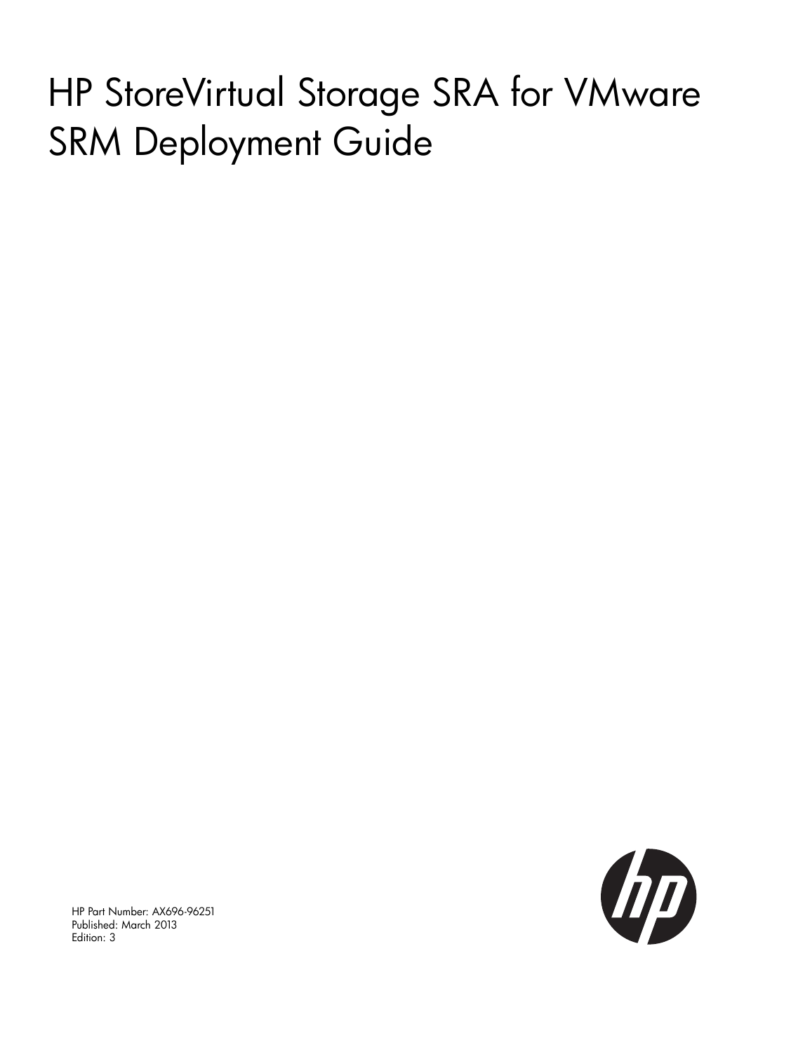# HP StoreVirtual Storage SRA for VMware SRM Deployment Guide



HP Part Number: AX696-96251 Published: March 2013 Edition: 3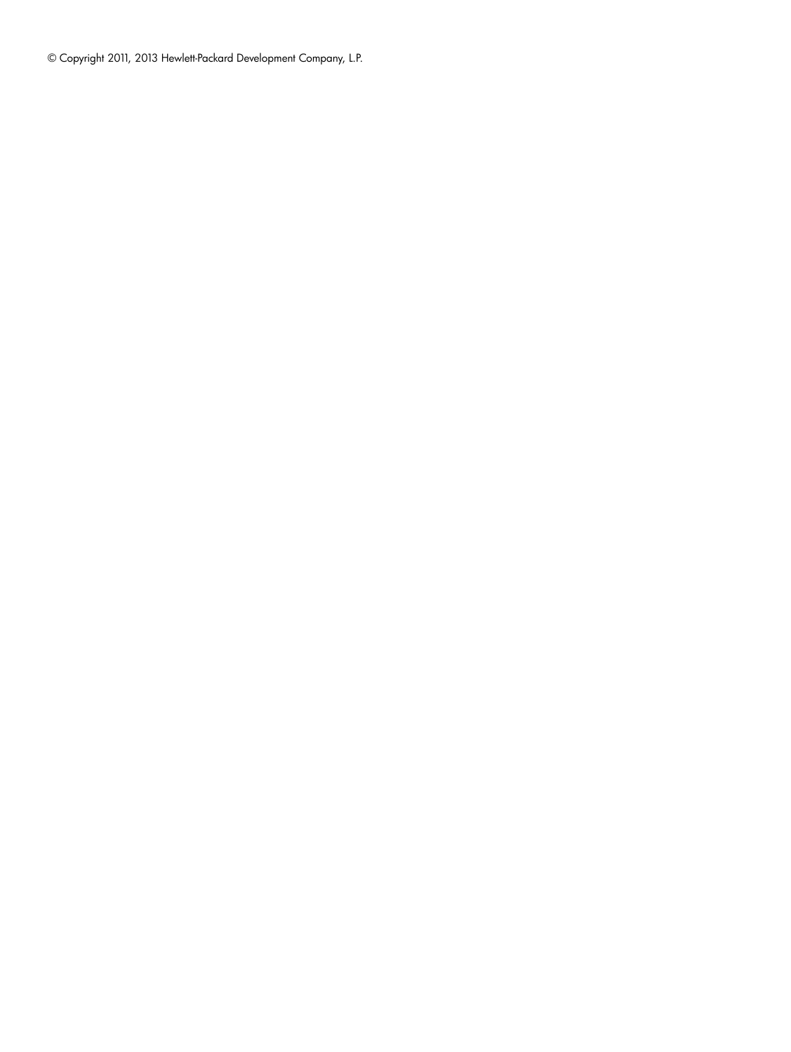© Copyright 2011, 2013 Hewlett-Packard Development Company, L.P.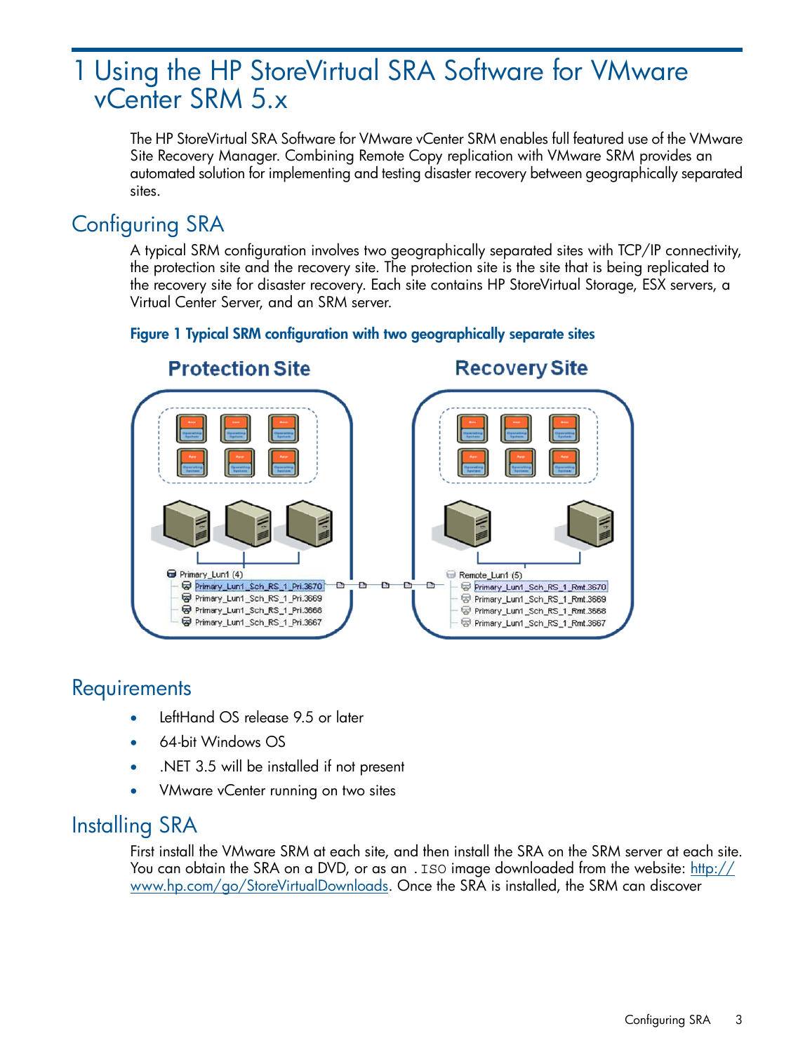## 1 Using the HP StoreVirtual SRA Software for VMware vCenter SRM 5.x

The HP StoreVirtual SRA Software for VMware vCenter SRM enables full featured use of the VMware Site Recovery Manager. Combining Remote Copy replication with VMware SRM provides an automated solution for implementing and testing disaster recovery between geographically separated sites.

## Configuring SRA

A typical SRM configuration involves two geographically separated sites with TCP/IP connectivity, the protection site and the recovery site. The protection site is the site that is being replicated to the recovery site for disaster recovery. Each site contains HP StoreVirtual Storage, ESX servers, a Virtual Center Server, and an SRM server.

#### Figure 1 Typical SRM configuration with two geographically separate sites



## **Requirements**

- LeftHand OS release 9.5 or later
- 64-bit Windows OS
- .NET 3.5 will be installed if not present
- VMware vCenter running on two sites

## Installing SRA

First install the VMware SRM at each site, and then install the SRA on the SRM server at each site. You can obtain the SRA on a DVD, or as an . ISO image downloaded from the website: [http://](http://www.hp.com/go/StoreVirtualDownloads) [www.hp.com/go/StoreVirtualDownloads](http://www.hp.com/go/StoreVirtualDownloads). Once the SRA is installed, the SRM can discover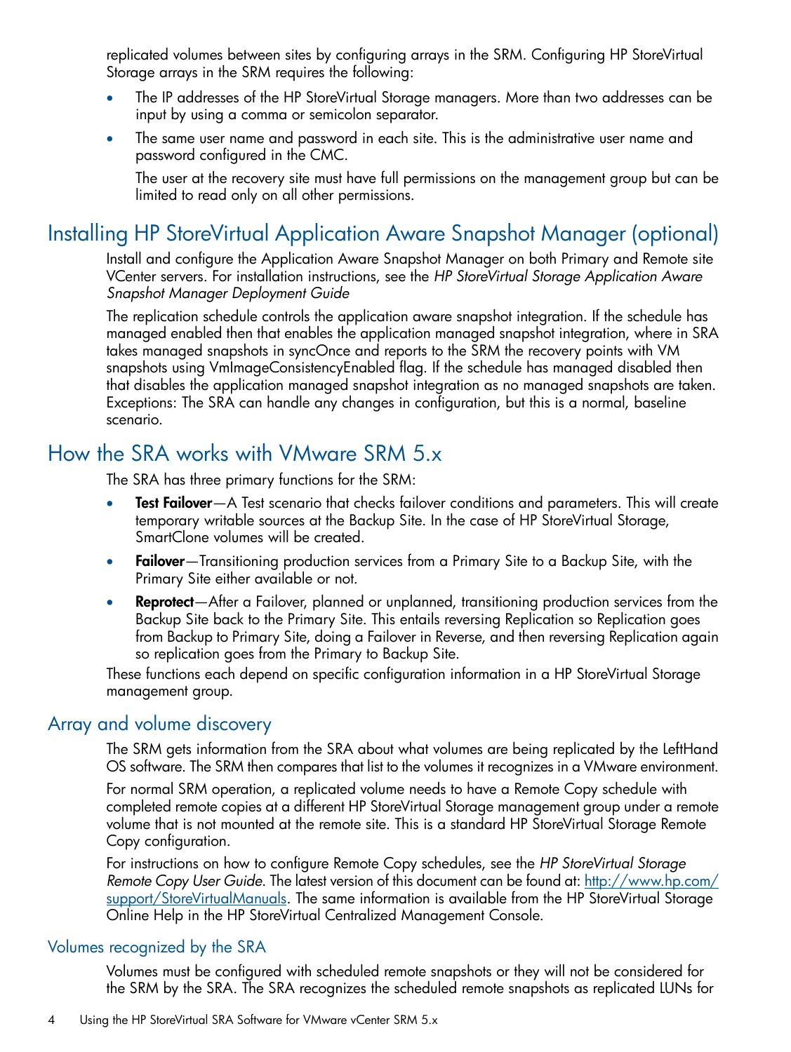replicated volumes between sites by configuring arrays in the SRM. Configuring HP StoreVirtual Storage arrays in the SRM requires the following:

- The IP addresses of the HP StoreVirtual Storage managers. More than two addresses can be input by using a comma or semicolon separator.
- The same user name and password in each site. This is the administrative user name and password configured in the CMC.

The user at the recovery site must have full permissions on the management group but can be limited to read only on all other permissions.

## Installing HP StoreVirtual Application Aware Snapshot Manager (optional)

Install and configure the Application Aware Snapshot Manager on both Primary and Remote site VCenter servers. For installation instructions, see the *HP StoreVirtual Storage Application Aware Snapshot Manager Deployment Guide*

The replication schedule controls the application aware snapshot integration. If the schedule has managed enabled then that enables the application managed snapshot integration, where in SRA takes managed snapshots in syncOnce and reports to the SRM the recovery points with VM snapshots using VmImageConsistencyEnabled flag. If the schedule has managed disabled then that disables the application managed snapshot integration as no managed snapshots are taken. Exceptions: The SRA can handle any changes in configuration, but this is a normal, baseline scenario.

## How the SRA works with VMware SRM 5.x

The SRA has three primary functions for the SRM:

- Test Failover—A Test scenario that checks failover conditions and parameters. This will create temporary writable sources at the Backup Site. In the case of HP StoreVirtual Storage, SmartClone volumes will be created.
- Failover—Transitioning production services from a Primary Site to a Backup Site, with the Primary Site either available or not.
- Reprotect-After a Failover, planned or unplanned, transitioning production services from the Backup Site back to the Primary Site. This entails reversing Replication so Replication goes from Backup to Primary Site, doing a Failover in Reverse, and then reversing Replication again so replication goes from the Primary to Backup Site.

These functions each depend on specific configuration information in a HP StoreVirtual Storage management group.

#### Array and volume discovery

The SRM gets information from the SRA about what volumes are being replicated by the LeftHand OS software. The SRM then compares that list to the volumes it recognizes in a VMware environment.

For normal SRM operation, a replicated volume needs to have a Remote Copy schedule with completed remote copies at a different HP StoreVirtual Storage management group under a remote volume that is not mounted at the remote site. This is a standard HP StoreVirtual Storage Remote Copy configuration.

For instructions on how to configure Remote Copy schedules, see the *HP StoreVirtual Storage Remote Copy User Guide*. The latest version of this document can be found at: [http://www.hp.com/](http://www.hp.com/support/StoreVirtualManuals) [support/StoreVirtualManuals.](http://www.hp.com/support/StoreVirtualManuals) The same information is available from the HP StoreVirtual Storage Online Help in the HP StoreVirtual Centralized Management Console.

#### Volumes recognized by the SRA

Volumes must be configured with scheduled remote snapshots or they will not be considered for the SRM by the SRA. The SRA recognizes the scheduled remote snapshots as replicated LUNs for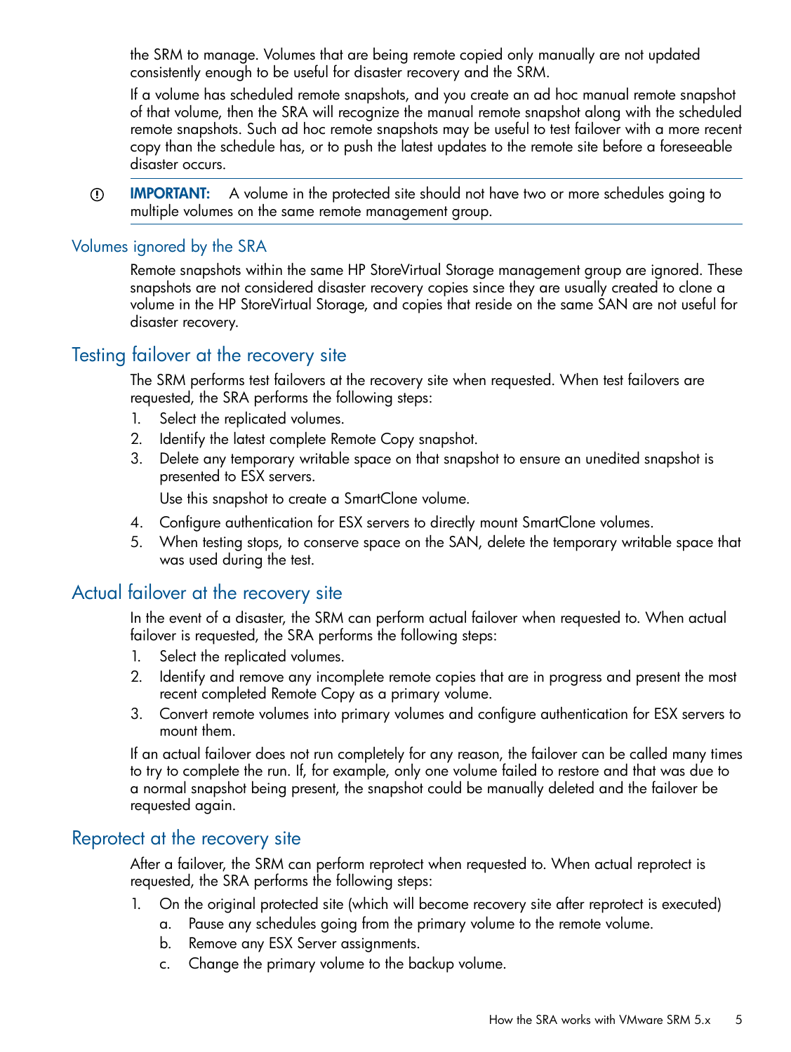the SRM to manage. Volumes that are being remote copied only manually are not updated consistently enough to be useful for disaster recovery and the SRM.

If a volume has scheduled remote snapshots, and you create an ad hoc manual remote snapshot of that volume, then the SRA will recognize the manual remote snapshot along with the scheduled remote snapshots. Such ad hoc remote snapshots may be useful to test failover with a more recent copy than the schedule has, or to push the latest updates to the remote site before a foreseeable disaster occurs.

IMPORTANT: A volume in the protected site should not have two or more schedules going to  $\odot$ multiple volumes on the same remote management group.

#### Volumes ignored by the SRA

Remote snapshots within the same HP StoreVirtual Storage management group are ignored. These snapshots are not considered disaster recovery copies since they are usually created to clone a volume in the HP StoreVirtual Storage, and copies that reside on the same SAN are not useful for disaster recovery.

#### Testing failover at the recovery site

The SRM performs test failovers at the recovery site when requested. When test failovers are requested, the SRA performs the following steps:

- 1. Select the replicated volumes.
- 2. Identify the latest complete Remote Copy snapshot.
- 3. Delete any temporary writable space on that snapshot to ensure an unedited snapshot is presented to ESX servers.

Use this snapshot to create a SmartClone volume.

- 4. Configure authentication for ESX servers to directly mount SmartClone volumes.
- 5. When testing stops, to conserve space on the SAN, delete the temporary writable space that was used during the test.

#### Actual failover at the recovery site

In the event of a disaster, the SRM can perform actual failover when requested to. When actual failover is requested, the SRA performs the following steps:

- 1. Select the replicated volumes.
- 2. Identify and remove any incomplete remote copies that are in progress and present the most recent completed Remote Copy as a primary volume.
- 3. Convert remote volumes into primary volumes and configure authentication for ESX servers to mount them.

If an actual failover does not run completely for any reason, the failover can be called many times to try to complete the run. If, for example, only one volume failed to restore and that was due to a normal snapshot being present, the snapshot could be manually deleted and the failover be requested again.

#### Reprotect at the recovery site

After a failover, the SRM can perform reprotect when requested to. When actual reprotect is requested, the SRA performs the following steps:

- 1. On the original protected site (which will become recovery site after reprotect is executed)
	- a. Pause any schedules going from the primary volume to the remote volume.
	- b. Remove any ESX Server assignments.
	- c. Change the primary volume to the backup volume.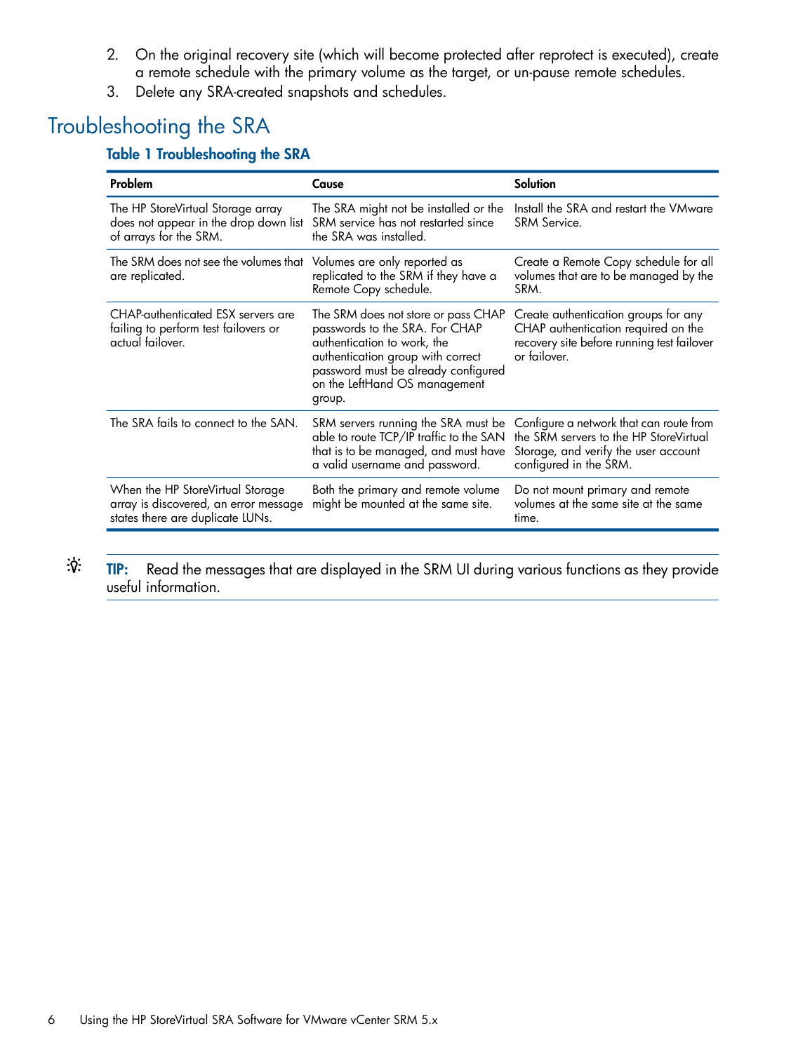- 2. On the original recovery site (which will become protected after reprotect is executed), create a remote schedule with the primary volume as the target, or un-pause remote schedules.
- 3. Delete any SRA-created snapshots and schedules.

## Troubleshooting the SRA

#### Table 1 Troubleshooting the SRA

| Problem                                                                                                       | Cause                                                                                                                                                                                                                       | Solution                                                                                                                                            |
|---------------------------------------------------------------------------------------------------------------|-----------------------------------------------------------------------------------------------------------------------------------------------------------------------------------------------------------------------------|-----------------------------------------------------------------------------------------------------------------------------------------------------|
| The HP StoreVirtual Storage array<br>does not appear in the drop down list<br>of arrays for the SRM.          | The SRA might not be installed or the<br>SRM service has not restarted since<br>the SRA was installed.                                                                                                                      | Install the SRA and restart the VMware<br>SRM Service.                                                                                              |
| The SRM does not see the volumes that<br>are replicated.                                                      | Volumes are only reported as<br>replicated to the SRM if they have a<br>Remote Copy schedule.                                                                                                                               | Create a Remote Copy schedule for all<br>volumes that are to be managed by the<br>SRM.                                                              |
| CHAP-authenticated ESX servers are<br>failing to perform test failovers or<br>actual failover.                | The SRM does not store or pass CHAP<br>passwords to the SRA. For CHAP<br>authentication to work, the<br>authentication group with correct<br>password must be already configured<br>on the LeftHand OS management<br>group. | Create authentication groups for any<br>CHAP authentication required on the<br>recovery site before running test failover<br>or failover.           |
| The SRA fails to connect to the SAN.                                                                          | SRM servers running the SRA must be<br>able to route TCP/IP traffic to the SAN<br>that is to be managed, and must have<br>a valid username and password.                                                                    | Configure a network that can route from<br>the SRM servers to the HP StoreVirtual<br>Storage, and verify the user account<br>configured in the SRM. |
| When the HP StoreVirtual Storage<br>array is discovered, an error message<br>states there are duplicate LUNs. | Both the primary and remote volume<br>might be mounted at the same site.                                                                                                                                                    | Do not mount primary and remote<br>volumes at the same site at the same<br>time.                                                                    |

 $\ddot{Q}$ :

TIP: Read the messages that are displayed in the SRM UI during various functions as they provide useful information.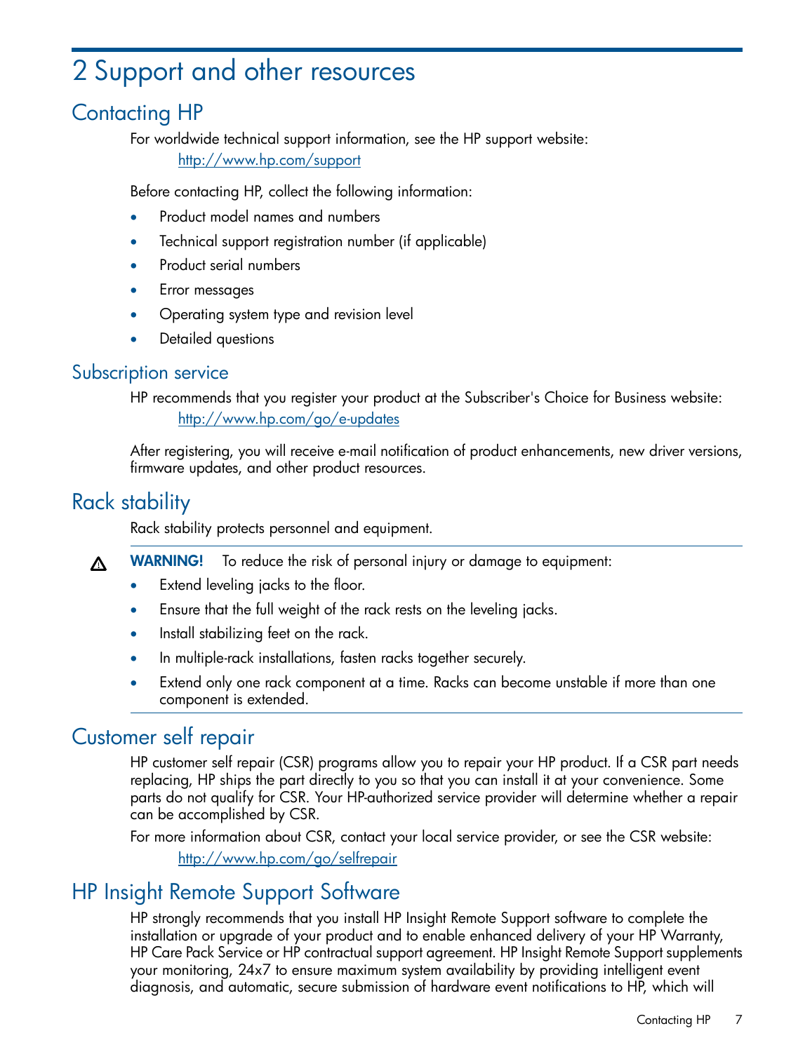## 2 Support and other resources

## Contacting HP

For worldwide technical support information, see the HP support website: <http://www.hp.com/support>

Before contacting HP, collect the following information:

- Product model names and numbers
- Technical support registration number (if applicable)
- Product serial numbers
- Error messages
- Operating system type and revision level
- Detailed questions

#### Subscription service

HP recommends that you register your product at the Subscriber's Choice for Business website: <http://www.hp.com/go/e-updates>

After registering, you will receive e-mail notification of product enhancements, new driver versions, firmware updates, and other product resources.

## Rack stability

Rack stability protects personnel and equipment.

- WARNING! To reduce the risk of personal injury or damage to equipment:  $\Delta$ 
	- Extend leveling jacks to the floor.
	- Ensure that the full weight of the rack rests on the leveling jacks.
	- Install stabilizing feet on the rack.
	- In multiple-rack installations, fasten racks together securely.
	- Extend only one rack component at a time. Racks can become unstable if more than one component is extended.

### Customer self repair

HP customer self repair (CSR) programs allow you to repair your HP product. If a CSR part needs replacing, HP ships the part directly to you so that you can install it at your convenience. Some parts do not qualify for CSR. Your HP-authorized service provider will determine whether a repair can be accomplished by CSR.

For more information about CSR, contact your local service provider, or see the CSR website: <http://www.hp.com/go/selfrepair>

## HP Insight Remote Support Software

HP strongly recommends that you install HP Insight Remote Support software to complete the installation or upgrade of your product and to enable enhanced delivery of your HP Warranty, HP Care Pack Service or HP contractual support agreement. HP Insight Remote Support supplements your monitoring, 24x7 to ensure maximum system availability by providing intelligent event diagnosis, and automatic, secure submission of hardware event notifications to HP, which will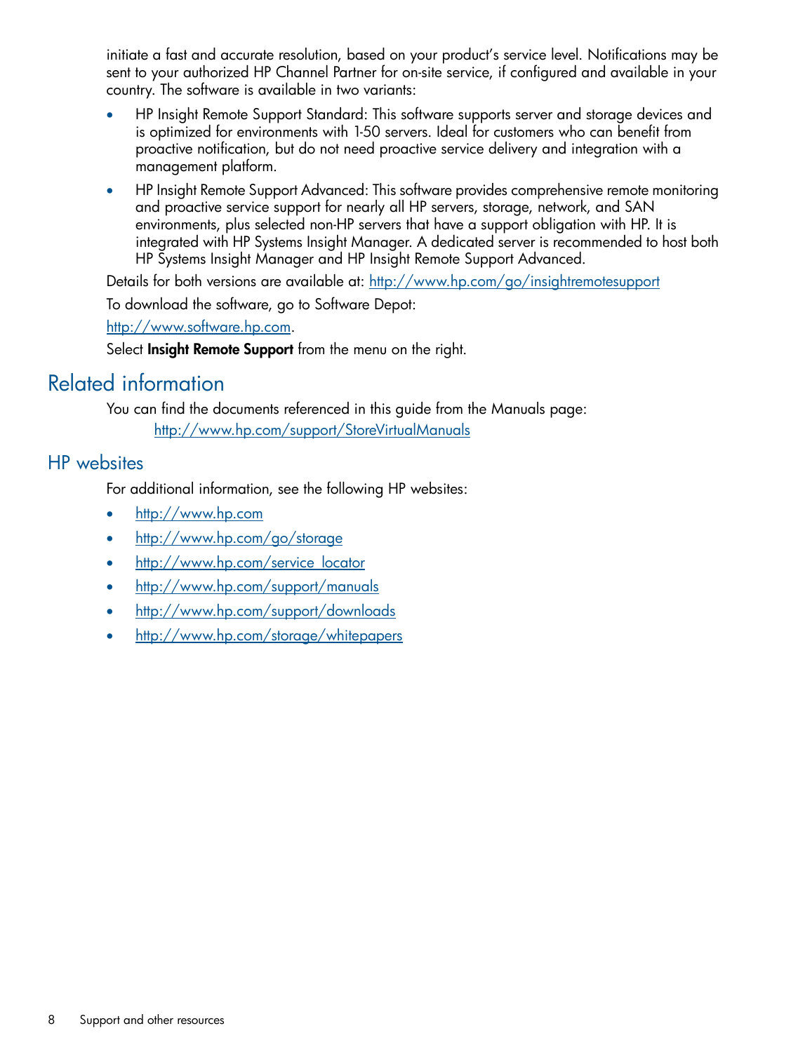initiate a fast and accurate resolution, based on your product's service level. Notifications may be sent to your authorized HP Channel Partner for on-site service, if configured and available in your country. The software is available in two variants:

- HP Insight Remote Support Standard: This software supports server and storage devices and is optimized for environments with 1-50 servers. Ideal for customers who can benefit from proactive notification, but do not need proactive service delivery and integration with a management platform.
- HP Insight Remote Support Advanced: This software provides comprehensive remote monitoring and proactive service support for nearly all HP servers, storage, network, and SAN environments, plus selected non-HP servers that have a support obligation with HP. It is integrated with HP Systems Insight Manager. A dedicated server is recommended to host both HP Systems Insight Manager and HP Insight Remote Support Advanced.

Details for both versions are available at: <http://www.hp.com/go/insightremotesupport>

To download the software, go to Software Depot:

[http://www.software.hp.com.](http://www.software.hp.com)

Select Insight Remote Support from the menu on the right.

## Related information

You can find the documents referenced in this guide from the Manuals page: <http://www.hp.com/support/StoreVirtualManuals>

#### HP websites

For additional information, see the following HP websites:

- <http://www.hp.com>
- <http://www.hp.com/go/storage>
- [http://www.hp.com/service\\_locator](http://www.hp.com/service_locator)
- <http://www.hp.com/support/manuals>
- <http://www.hp.com/support/downloads>
- <http://www.hp.com/storage/whitepapers>